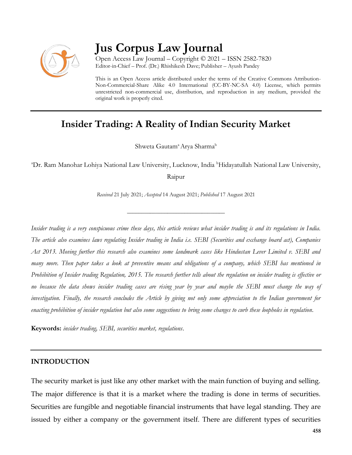

# **Jus Corpus Law Journal**

Open Access Law Journal – Copyright © 2021 – ISSN 2582-7820 Editor-in-Chief – Prof. (Dr.) Rhishikesh Dave; Publisher – Ayush Pandey

This is an Open Access article distributed under the terms of the Creative Commons Attribution-Non-Commercial-Share Alike 4.0 International (CC-BY-NC-SA 4.0) License, which permits unrestricted non-commercial use, distribution, and reproduction in any medium, provided the original work is properly cited.

## **Insider Trading: A Reality of Indian Security Market**

Shweta Gautam<sup>a</sup> Arya Sharma<sup>b</sup>

<sup>a</sup>Dr. Ram Manohar Lohiya National Law University, Lucknow, India <sup>b</sup>Hidayatullah National Law University,

Raipur

*Received* 21 July 2021; *Accepted* 14 August 2021; *Published* 17 August 2021

\_\_\_\_\_\_\_\_\_\_\_\_\_\_\_\_\_\_\_\_\_\_\_\_\_\_\_\_\_\_\_\_\_\_

*Insider trading is a very conspicuous crime these days, this article reviews what insider trading is and its regulations in India. The article also examines laws regulating Insider trading in India i.e. SEBI (Securities and exchange board act), Companies Act 2013. Moving further this research also examines some landmark cases like Hindustan Lever Limited v. SEBI and many more. Then paper takes a look at preventive means and obligations of a company, which SEBI has mentioned in Prohibition of Insider trading Regulation, 2015. The research further tells about the regulation on insider trading is effective or no because the data shows insider trading cases are rising year by year and maybe the SEBI must change the way of investigation. Finally, the research concludes the Article by giving not only some appreciation to the Indian government for enacting prohibition of insider regulation but also some suggestions to bring some changes to curb these loopholes in regulation.*

**Keywords:** *insider trading, SEBI, securities market, regulations*.

#### **INTRODUCTION**

The security market is just like any other market with the main function of buying and selling. The major difference is that it is a market where the trading is done in terms of securities. Securities are fungible and negotiable financial instruments that have legal standing. They are issued by either a company or the government itself. There are different types of securities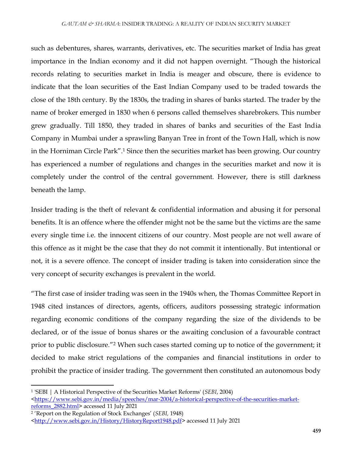such as debentures, shares, warrants, derivatives, etc. The securities market of India has great importance in the Indian economy and it did not happen overnight. "Though the historical records relating to securities market in India is meager and obscure, there is evidence to indicate that the loan securities of the East Indian Company used to be traded towards the close of the 18th century. By the 1830s, the trading in shares of banks started. The trader by the name of broker emerged in 1830 when 6 persons called themselves sharebrokers. This number grew gradually. Till 1850, they traded in shares of banks and securities of the East India Company in Mumbai under a sprawling Banyan Tree in front of the Town Hall, which is now in the Horniman Circle Park".<sup>1</sup> Since then the securities market has been growing. Our country has experienced a number of regulations and changes in the securities market and now it is completely under the control of the central government. However, there is still darkness beneath the lamp.

Insider trading is the theft of relevant & confidential information and abusing it for personal benefits. It is an offence where the offender might not be the same but the victims are the same every single time i.e. the innocent citizens of our country. Most people are not well aware of this offence as it might be the case that they do not commit it intentionally. But intentional or not, it is a severe offence. The concept of insider trading is taken into consideration since the very concept of security exchanges is prevalent in the world.

"The first case of insider trading was seen in the 1940s when, the Thomas Committee Report in 1948 cited instances of directors, agents, officers, auditors possessing strategic information regarding economic conditions of the company regarding the size of the dividends to be declared, or of the issue of bonus shares or the awaiting conclusion of a favourable contract prior to public disclosure."<sup>2</sup> When such cases started coming up to notice of the government; it decided to make strict regulations of the companies and financial institutions in order to prohibit the practice of insider trading. The government then constituted an autonomous body

<sup>1</sup> 'SEBI | A Historical Perspective of the Securities Market Reforms' (*SEBI*, 2004)

 $\frac{\text{thttps}}{\text{m}}$ /www.sebi.gov.in/media/speeches/mar-2004/a-historical-perspective-of-the-securities-market[reforms\\_2882.html>](https://www.sebi.gov.in/media/speeches/mar-2004/a-historical-perspective-of-the-securities-market-reforms_2882.html) accessed 11 July 2021

<sup>2</sup> 'Report on the Regulation of Stock Exchanges' (*SEBI,* 1948)

[<sup>&</sup>lt;http://www.sebi.gov.in/History/HistoryReport1948.pdf>](http://www.sebi.gov.in/History/HistoryReport1948.pdf)accessed 11 July 2021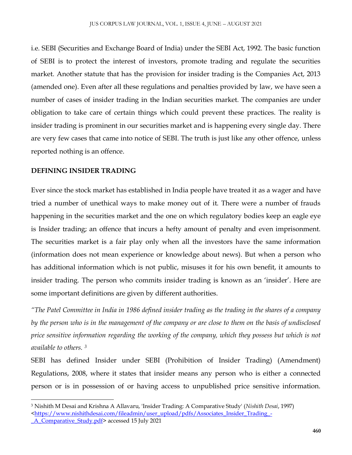i.e. SEBI (Securities and Exchange Board of India) under the SEBI Act, 1992. The basic function of SEBI is to protect the interest of investors, promote trading and regulate the securities market. Another statute that has the provision for insider trading is the Companies Act, 2013 (amended one). Even after all these regulations and penalties provided by law, we have seen a number of cases of insider trading in the Indian securities market. The companies are under obligation to take care of certain things which could prevent these practices. The reality is insider trading is prominent in our securities market and is happening every single day. There are very few cases that came into notice of SEBI. The truth is just like any other offence, unless reported nothing is an offence.

## **DEFINING INSIDER TRADING**

 $\overline{\phantom{a}}$ 

Ever since the stock market has established in India people have treated it as a wager and have tried a number of unethical ways to make money out of it. There were a number of frauds happening in the securities market and the one on which regulatory bodies keep an eagle eye is Insider trading; an offence that incurs a hefty amount of penalty and even imprisonment. The securities market is a fair play only when all the investors have the same information (information does not mean experience or knowledge about news). But when a person who has additional information which is not public, misuses it for his own benefit, it amounts to insider trading. The person who commits insider trading is known as an 'insider'. Here are some important definitions are given by different authorities.

*"The Patel Committee in India in 1986 defined insider trading as the trading in the shares of a company by the person who is in the management of the company or are close to them on the basis of undisclosed price sensitive information regarding the working of the company, which they possess but which is not available to others. <sup>3</sup>*

SEBI has defined Insider under SEBI (Prohibition of Insider Trading) (Amendment) Regulations, 2008, where it states that insider means any person who is either a connected person or is in possession of or having access to unpublished price sensitive information.

<sup>3</sup> Nishith M Desai and Krishna A Allavaru, 'Insider Trading: A Comparative Study' (*Nishith Desai*, 1997) [<https://www.nishithdesai.com/fileadmin/user\\_upload/pdfs/Associates\\_Insider\\_Trading\\_-](https://www.nishithdesai.com/fileadmin/user_upload/pdfs/Associates_Insider_Trading_-_A_Comparative_Study.pdf) A Comparative Study.pdf > accessed 15 July 2021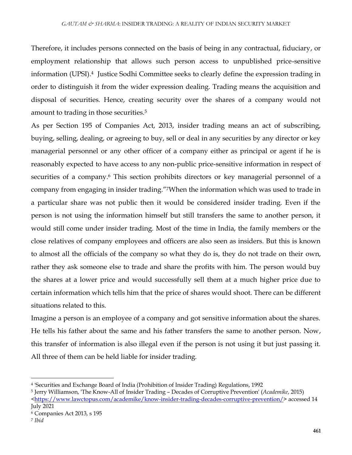Therefore, it includes persons connected on the basis of being in any contractual, fiduciary, or employment relationship that allows such person access to unpublished price-sensitive information (UPSI).<sup>4</sup> Justice Sodhi Committee seeks to clearly define the expression trading in order to distinguish it from the wider expression dealing. Trading means the acquisition and disposal of securities. Hence, creating security over the shares of a company would not amount to trading in those securities.<sup>5</sup>

As per Section 195 of Companies Act, 2013, insider trading means an act of subscribing, buying, selling, dealing, or agreeing to buy, sell or deal in any securities by any director or key managerial personnel or any other officer of a company either as principal or agent if he is reasonably expected to have access to any non-public price-sensitive information in respect of securities of a company.<sup>6</sup> This section prohibits directors or key managerial personnel of a company from engaging in insider trading."7When the information which was used to trade in a particular share was not public then it would be considered insider trading. Even if the person is not using the information himself but still transfers the same to another person, it would still come under insider trading. Most of the time in India, the family members or the close relatives of company employees and officers are also seen as insiders. But this is known to almost all the officials of the company so what they do is, they do not trade on their own, rather they ask someone else to trade and share the profits with him. The person would buy the shares at a lower price and would successfully sell them at a much higher price due to certain information which tells him that the price of shares would shoot. There can be different situations related to this.

Imagine a person is an employee of a company and got sensitive information about the shares. He tells his father about the same and his father transfers the same to another person. Now, this transfer of information is also illegal even if the person is not using it but just passing it. All three of them can be held liable for insider trading.

<sup>4</sup> 'Securities and Exchange Board of India (Prohibition of Insider Trading) Regulations, 1992

<sup>5</sup> Jerry Williamson, 'The Know-All of Insider Trading – Decades of Corruptive Prevention' (*Academike*, 2015)

[<sup>&</sup>lt;https://www.lawctopus.com/academike/know-insider-trading-decades-corruptive-prevention/>](https://www.lawctopus.com/academike/know-insider-trading-decades-corruptive-prevention/) accessed 14 July 2021

<sup>6</sup> Companies Act 2013, s 195

<sup>7</sup> *Ibid*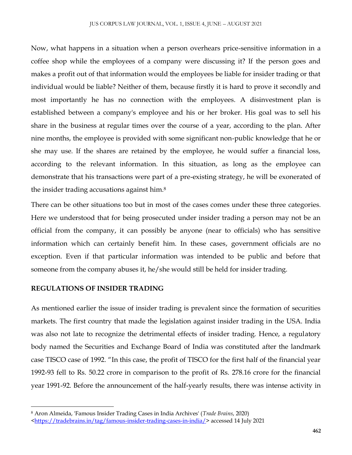Now, what happens in a situation when a person overhears price-sensitive information in a coffee shop while the employees of a company were discussing it? If the person goes and makes a profit out of that information would the employees be liable for insider trading or that individual would be liable? Neither of them, because firstly it is hard to prove it secondly and most importantly he has no connection with the employees. A disinvestment plan is established between a company's employee and his or her broker. His goal was to sell his share in the business at regular times over the course of a year, according to the plan. After nine months, the employee is provided with some significant non-public knowledge that he or she may use. If the shares are retained by the employee, he would suffer a financial loss, according to the relevant information. In this situation, as long as the employee can demonstrate that his transactions were part of a pre-existing strategy, he will be exonerated of the insider trading accusations against him.<sup>8</sup>

There can be other situations too but in most of the cases comes under these three categories. Here we understood that for being prosecuted under insider trading a person may not be an official from the company, it can possibly be anyone (near to officials) who has sensitive information which can certainly benefit him. In these cases, government officials are no exception. Even if that particular information was intended to be public and before that someone from the company abuses it, he/she would still be held for insider trading.

#### **REGULATIONS OF INSIDER TRADING**

 $\overline{\phantom{a}}$ 

As mentioned earlier the issue of insider trading is prevalent since the formation of securities markets. The first country that made the legislation against insider trading in the USA. India was also not late to recognize the detrimental effects of insider trading. Hence, a regulatory body named the Securities and Exchange Board of India was constituted after the landmark case TISCO case of 1992. "In this case, the profit of TISCO for the first half of the financial year 1992-93 fell to Rs. 50.22 crore in comparison to the profit of Rs. 278.16 crore for the financial year 1991-92. Before the announcement of the half-yearly results, there was intense activity in

<sup>8</sup> Aron Almeida, 'Famous Insider Trading Cases in India Archives' (*Trade Brains*, 2020)

[<sup>&</sup>lt;https://tradebrains.in/tag/famous-insider-trading-cases-in-india/>](https://tradebrains.in/tag/famous-insider-trading-cases-in-india/) accessed 14 July 2021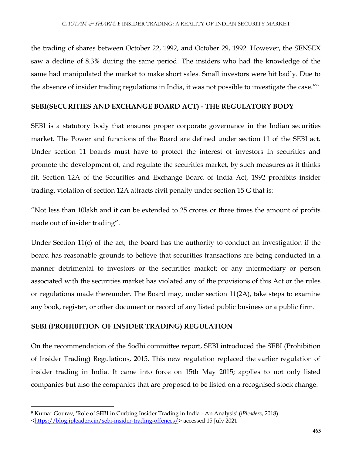the trading of shares between October 22, 1992, and October 29, 1992. However, the SENSEX saw a decline of 8.3% during the same period. The insiders who had the knowledge of the same had manipulated the market to make short sales. Small investors were hit badly. Due to the absence of insider trading regulations in India, it was not possible to investigate the case."<sup>9</sup>

## **SEBI(SECURITIES AND EXCHANGE BOARD ACT) - THE REGULATORY BODY**

SEBI is a statutory body that ensures proper corporate governance in the Indian securities market. The Power and functions of the Board are defined under section 11 of the SEBI act. Under section 11 boards must have to protect the interest of investors in securities and promote the development of, and regulate the securities market, by such measures as it thinks fit. Section 12A of the Securities and Exchange Board of India Act, 1992 prohibits insider trading, violation of section 12A attracts civil penalty under section 15 G that is:

"Not less than 10lakh and it can be extended to 25 crores or three times the amount of profits made out of insider trading".

Under Section 11(c) of the act, the board has the authority to conduct an investigation if the board has reasonable grounds to believe that securities transactions are being conducted in a manner detrimental to investors or the securities market; or any intermediary or person associated with the securities market has violated any of the provisions of this Act or the rules or regulations made thereunder. The Board may, under section 11(2A), take steps to examine any book, register, or other document or record of any listed public business or a public firm.

## **SEBI (PROHIBITION OF INSIDER TRADING) REGULATION**

On the recommendation of the Sodhi committee report, SEBI introduced the SEBI (Prohibition of Insider Trading) Regulations, 2015. This new regulation replaced the earlier regulation of insider trading in India. It came into force on 15th May 2015; applies to not only listed companies but also the companies that are proposed to be listed on a recognised stock change.

 $\overline{\phantom{a}}$ 

<sup>9</sup> Kumar Gourav, 'Role of SEBI in Curbing Insider Trading in India - An Analysis' (*iPleaders*, 2018)

[<sup>&</sup>lt;https://blog.ipleaders.in/sebi-insider-trading-offences/>](https://blog.ipleaders.in/sebi-insider-trading-offences/) accessed 15 July 2021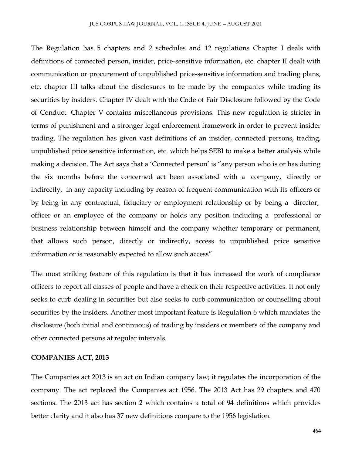The Regulation has 5 chapters and 2 schedules and 12 regulations Chapter I deals with definitions of connected person, insider, price-sensitive information, etc. chapter II dealt with communication or procurement of unpublished price-sensitive information and trading plans, etc. chapter III talks about the disclosures to be made by the companies while trading its securities by insiders. Chapter IV dealt with the Code of Fair Disclosure followed by the Code of Conduct. Chapter V contains miscellaneous provisions. This new regulation is stricter in terms of punishment and a stronger legal enforcement framework in order to prevent insider trading. The regulation has given vast definitions of an insider, connected persons, trading, unpublished price sensitive information, etc. which helps SEBI to make a better analysis while making a decision. The Act says that a 'Connected person' is "any person who is or has during the six months before the concerned act been associated with a company, directly or indirectly, in any capacity including by reason of frequent communication with its officers or by being in any contractual, fiduciary or employment relationship or by being a director, officer or an employee of the company or holds any position including a professional or business relationship between himself and the company whether temporary or permanent, that allows such person, directly or indirectly, access to unpublished price sensitive information or is reasonably expected to allow such access".

The most striking feature of this regulation is that it has increased the work of compliance officers to report all classes of people and have a check on their respective activities. It not only seeks to curb dealing in securities but also seeks to curb communication or counselling about securities by the insiders. Another most important feature is Regulation 6 which mandates the disclosure (both initial and continuous) of trading by insiders or members of the company and other connected persons at regular intervals.

## **COMPANIES ACT, 2013**

The Companies act 2013 is an act on Indian company law; it regulates the incorporation of the company. The act replaced the Companies act 1956. The 2013 Act has 29 chapters and 470 sections. The 2013 act has section 2 which contains a total of 94 definitions which provides better clarity and it also has 37 new definitions compare to the 1956 legislation.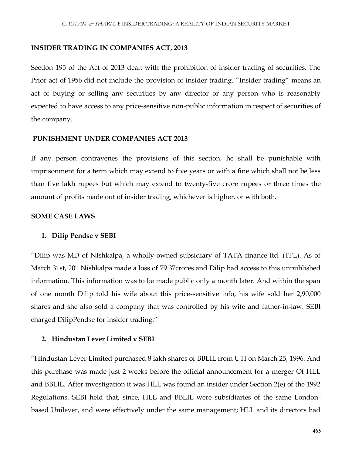#### **INSIDER TRADING IN COMPANIES ACT, 2013**

Section 195 of the Act of 2013 dealt with the prohibition of insider trading of securities. The Prior act of 1956 did not include the provision of insider trading. "Insider trading" means an act of buying or selling any securities by any director or any person who is reasonably expected to have access to any price-sensitive non-public information in respect of securities of the company.

#### **PUNISHMENT UNDER COMPANIES ACT 2013**

If any person contravenes the provisions of this section, he shall be punishable with imprisonment for a term which may extend to five years or with a fine which shall not be less than five lakh rupees but which may extend to twenty-five crore rupees or three times the amount of profits made out of insider trading, whichever is higher, or with both.

#### **SOME CASE LAWS**

#### **1. Dilip Pendse v SEBI**

"Dilip was MD of NIshkalpa, a wholly-owned subsidiary of TATA finance ltd. (TFL). As of March 31st, 201 Nishkalpa made a loss of 79.37crores.and Dilip had access to this unpublished information. This information was to be made public only a month later. And within the span of one month Dilip told his wife about this price-sensitive info, his wife sold her 2,90,000 shares and she also sold a company that was controlled by his wife and father-in-law. SEBI charged DilipPendse for insider trading."

## **2. Hindustan Lever Limited v SEBI**

"Hindustan Lever Limited purchased 8 lakh shares of BBLIL from UTI on March 25, 1996. And this purchase was made just 2 weeks before the official announcement for a merger Of HLL and BBLIL. After investigation it was HLL was found an insider under Section 2(e) of the 1992 Regulations. SEBI held that, since, HLL and BBLIL were subsidiaries of the same Londonbased Unilever, and were effectively under the same management; HLL and its directors had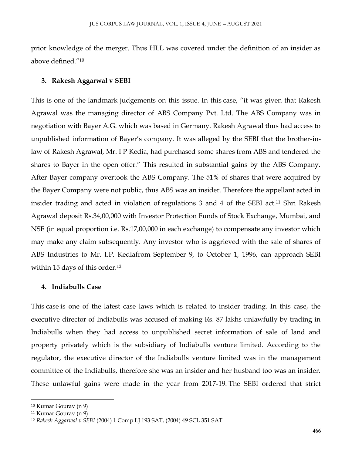prior knowledge of the merger. Thus HLL was covered under the definition of an insider as above defined."<sup>10</sup>

## **3. Rakesh Aggarwal v SEBI**

This is one of the landmark judgements on this issue. In this case, "it was given that Rakesh Agrawal was the managing director of ABS Company Pvt. Ltd. The ABS Company was in negotiation with Bayer A.G. which was based in Germany. Rakesh Agrawal thus had access to unpublished information of Bayer's company. It was alleged by the SEBI that the brother-inlaw of Rakesh Agrawal, Mr. I P Kedia, had purchased some shares from ABS and tendered the shares to Bayer in the open offer." This resulted in substantial gains by the ABS Company. After Bayer company overtook the ABS Company. The 51% of shares that were acquired by the Bayer Company were not public, thus ABS was an insider. Therefore the appellant acted in insider trading and acted in violation of regulations 3 and 4 of the SEBI act. <sup>11</sup> Shri Rakesh Agrawal deposit Rs.34,00,000 with Investor Protection Funds of Stock Exchange, Mumbai, and NSE (in equal proportion i.e. Rs.17,00,000 in each exchange) to compensate any investor which may make any claim subsequently. Any investor who is aggrieved with the sale of shares of ABS Industries to Mr. I.P. Kediafrom September 9, to October 1, 1996, can approach SEBI within 15 days of this order.<sup>12</sup>

#### **4. Indiabulls Case**

This case is one of the latest case laws which is related to insider trading. In this case, the executive director of Indiabulls was accused of making Rs. 87 lakhs unlawfully by trading in Indiabulls when they had access to unpublished secret information of sale of land and property privately which is the subsidiary of Indiabulls venture limited. According to the regulator, the executive director of the Indiabulls venture limited was in the management committee of the Indiabulls, therefore she was an insider and her husband too was an insider. These unlawful gains were made in the year from 2017-19. The SEBI ordered that strict

 $\overline{\phantom{a}}$ 

<sup>10</sup> Kumar Gourav (n 9)

<sup>11</sup> Kumar Gourav (n 9)

<sup>12</sup> *Rakesh Aggarwal v SEBI* (2004) 1 Comp LJ 193 SAT, (2004) 49 SCL 351 SAT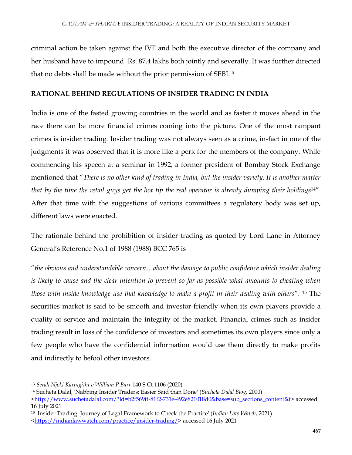criminal action be taken against the IVF and both the executive director of the company and her husband have to impound Rs. 87.4 lakhs both jointly and severally. It was further directed that no debts shall be made without the prior permission of SEBI.<sup>13</sup>

## **RATIONAL BEHIND REGULATIONS OF INSIDER TRADING IN INDIA**

India is one of the fasted growing countries in the world and as faster it moves ahead in the race there can be more financial crimes coming into the picture. One of the most rampant crimes is insider trading. Insider trading was not always seen as a crime, in-fact in one of the judgments it was observed that it is more like a perk for the members of the company. While commencing his speech at a seminar in 1992, a former president of Bombay Stock Exchange mentioned that "*There is no other kind of trading in India, but the insider variety. It is another matter that by the time the retail guys get the hot tip the real operator is already dumping their holdings*14". After that time with the suggestions of various committees a regulatory body was set up, different laws were enacted.

The rationale behind the prohibition of insider trading as quoted by Lord Lane in Attorney General's Reference No.1 of 1988 (1988) BCC 765 is

"*the obvious and understandable concern…about the damage to public confidence which insider dealing is likely to cause and the clear intention to prevent so far as possible what amounts to cheating when those with inside knowledge use that knowledge to make a profit in their dealing with others*". <sup>15</sup> The securities market is said to be smooth and investor-friendly when its own players provide a quality of service and maintain the integrity of the market. Financial crimes such as insider trading result in loss of the confidence of investors and sometimes its own players since only a few people who have the confidential information would use them directly to make profits and indirectly to befool other investors.

<sup>13</sup> *Serah Njoki Karingithi v William P Barr* 140 S Ct 1106 (2020)

<sup>14</sup> Sucheta Dalal, 'Nabbing Insider Traders: Easier Said than Done' (*Sucheta Dalal Blog*, 2000)

[<sup>&</sup>lt;http://www.suchetadalal.com/?id=b2f569ff-81f2-731e-492e821018d0&base=sub\\_sections\\_content&f>](http://www.suchetadalal.com/?id=b2f569ff-81f2-731e-492e821018d0&base=sub_sections_content&f) accessed 16 July 2021

<sup>15</sup> 'Insider Trading: Journey of Legal Framework to Check the Practice' (*Indian Law Watch*, 2021)

[<sup>&</sup>lt;https://indianlawwatch.com/practice/insider-trading/>](https://indianlawwatch.com/practice/insider-trading/)accessed 16 July 2021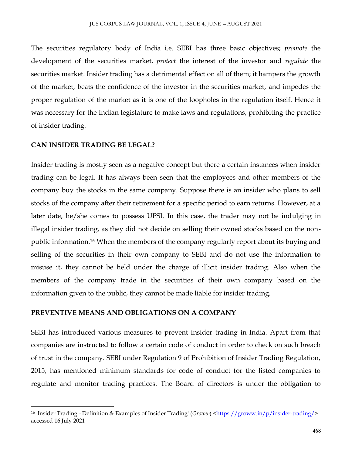The securities regulatory body of India i.e. SEBI has three basic objectives; *promote* the development of the securities market, *protect* the interest of the investor and *regulate* the securities market. Insider trading has a detrimental effect on all of them; it hampers the growth of the market, beats the confidence of the investor in the securities market, and impedes the proper regulation of the market as it is one of the loopholes in the regulation itself. Hence it was necessary for the Indian legislature to make laws and regulations, prohibiting the practice of insider trading.

## **CAN INSIDER TRADING BE LEGAL?**

 $\overline{\phantom{a}}$ 

Insider trading is mostly seen as a negative concept but there a certain instances when insider trading can be legal. It has always been seen that the employees and other members of the company buy the stocks in the same company. Suppose there is an insider who plans to sell stocks of the company after their retirement for a specific period to earn returns. However, at a later date, he/she comes to possess UPSI. In this case, the trader may not be indulging in illegal insider trading, as they did not decide on selling their owned stocks based on the nonpublic information.<sup>16</sup> When the members of the company regularly report about its buying and selling of the securities in their own company to SEBI and do not use the information to misuse it, they cannot be held under the charge of illicit insider trading. Also when the members of the company trade in the securities of their own company based on the information given to the public, they cannot be made liable for insider trading.

## **PREVENTIVE MEANS AND OBLIGATIONS ON A COMPANY**

SEBI has introduced various measures to prevent insider trading in India. Apart from that companies are instructed to follow a certain code of conduct in order to check on such breach of trust in the company. SEBI under Regulation 9 of Prohibition of Insider Trading Regulation, 2015, has mentioned minimum standards for code of conduct for the listed companies to regulate and monitor trading practices. The Board of directors is under the obligation to

<sup>&</sup>lt;sup>16</sup> 'Insider Trading - Definition & Examples of Insider Trading' (*Groww*) [<https://groww.in/p/insider-trading/>](https://groww.in/p/insider-trading/) accessed 16 July 2021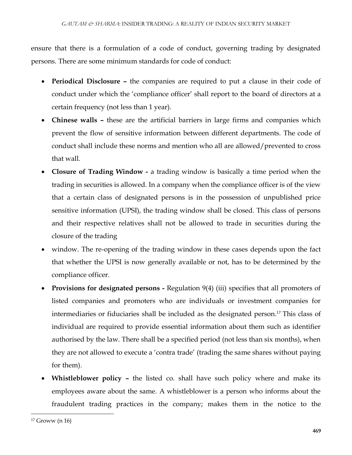ensure that there is a formulation of a code of conduct, governing trading by designated persons. There are some minimum standards for code of conduct:

- **Periodical Disclosure –** the companies are required to put a clause in their code of conduct under which the 'compliance officer' shall report to the board of directors at a certain frequency (not less than 1 year).
- **Chinese walls –** these are the artificial barriers in large firms and companies which prevent the flow of sensitive information between different departments. The code of conduct shall include these norms and mention who all are allowed/prevented to cross that wall.
- **Closure of Trading Window -** a trading window is basically a time period when the trading in securities is allowed. In a company when the compliance officer is of the view that a certain class of designated persons is in the possession of unpublished price sensitive information (UPSI), the trading window shall be closed. This class of persons and their respective relatives shall not be allowed to trade in securities during the closure of the trading
- window. The re-opening of the trading window in these cases depends upon the fact that whether the UPSI is now generally available or not, has to be determined by the compliance officer.
- **Provisions for designated persons -** Regulation 9(4) (iii) specifies that all promoters of listed companies and promoters who are individuals or investment companies for intermediaries or fiduciaries shall be included as the designated person.<sup>17</sup> This class of individual are required to provide essential information about them such as identifier authorised by the law. There shall be a specified period (not less than six months), when they are not allowed to execute a 'contra trade' (trading the same shares without paying for them).
- **Whistleblower policy –** the listed co. shall have such policy where and make its employees aware about the same. A whistleblower is a person who informs about the fraudulent trading practices in the company; makes them in the notice to the

 $\overline{\phantom{a}}$ 

<sup>17</sup> Groww (n 16)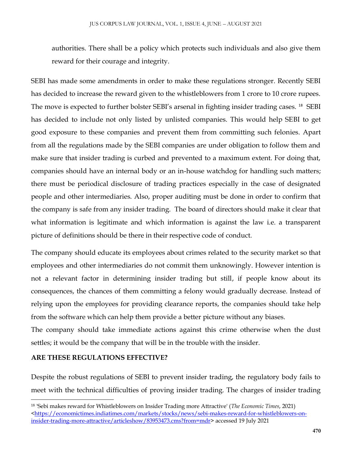authorities. There shall be a policy which protects such individuals and also give them reward for their courage and integrity.

SEBI has made some amendments in order to make these regulations stronger. Recently SEBI has decided to increase the reward given to the whistleblowers from 1 crore to 10 crore rupees. The move is expected to further bolster SEBI's arsenal in fighting insider trading cases. <sup>18</sup> SEBI has decided to include not only listed by unlisted companies. This would help SEBI to get good exposure to these companies and prevent them from committing such felonies. Apart from all the regulations made by the SEBI companies are under obligation to follow them and make sure that insider trading is curbed and prevented to a maximum extent. For doing that, companies should have an internal body or an in-house watchdog for handling such matters; there must be periodical disclosure of trading practices especially in the case of designated people and other intermediaries. Also, proper auditing must be done in order to confirm that the company is safe from any insider trading. The board of directors should make it clear that what information is legitimate and which information is against the law i.e. a transparent picture of definitions should be there in their respective code of conduct.

The company should educate its employees about crimes related to the security market so that employees and other intermediaries do not commit them unknowingly. However intention is not a relevant factor in determining insider trading but still, if people know about its consequences, the chances of them committing a felony would gradually decrease. Instead of relying upon the employees for providing clearance reports, the companies should take help from the software which can help them provide a better picture without any biases.

The company should take immediate actions against this crime otherwise when the dust settles; it would be the company that will be in the trouble with the insider.

## **ARE THESE REGULATIONS EFFECTIVE?**

 $\overline{\phantom{a}}$ 

Despite the robust regulations of SEBI to prevent insider trading, the regulatory body fails to meet with the technical difficulties of proving insider trading. The charges of insider trading

<sup>18</sup> 'Sebi makes reward for Whistleblowers on Insider Trading more Attractive' (*The Economic Times*, 2021) [<https://economictimes.indiatimes.com/markets/stocks/news/sebi-makes-reward-for-whistleblowers-on](https://economictimes.indiatimes.com/markets/stocks/news/sebi-makes-reward-for-whistleblowers-on-insider-trading-more-attractive/articleshow/83953473.cms?from=mdr)[insider-trading-more-attractive/articleshow/83953473.cms?from=mdr>](https://economictimes.indiatimes.com/markets/stocks/news/sebi-makes-reward-for-whistleblowers-on-insider-trading-more-attractive/articleshow/83953473.cms?from=mdr) accessed 19 July 2021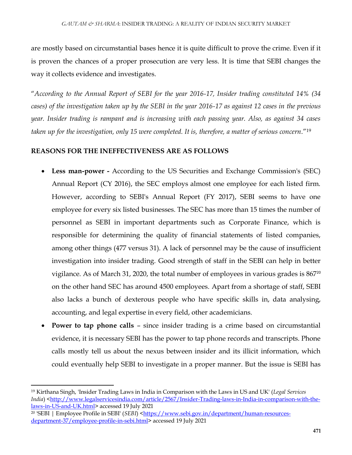are mostly based on circumstantial bases hence it is quite difficult to prove the crime. Even if it is proven the chances of a proper prosecution are very less. It is time that SEBI changes the way it collects evidence and investigates.

"*According to the Annual Report of SEBI for the year 2016-17, Insider trading constituted 14% (34 cases) of the investigation taken up by the SEBI in the year 2016-17 as against 12 cases in the previous year. Insider trading is rampant and is increasing with each passing year. Also, as against 34 cases taken up for the investigation, only 15 were completed. It is, therefore, a matter of serious concern*."<sup>19</sup>

## **REASONS FOR THE INEFFECTIVENESS ARE AS FOLLOWS**

- **Less man-power -** According to the US Securities and Exchange Commission's (SEC) Annual Report (CY 2016), the SEC employs almost one employee for each listed firm. However, according to SEBI's Annual Report (FY 2017), SEBI seems to have one employee for every six listed businesses. The SEC has more than 15 times the number of personnel as SEBI in important departments such as Corporate Finance, which is responsible for determining the quality of financial statements of listed companies, among other things (477 versus 31). A lack of personnel may be the cause of insufficient investigation into insider trading. Good strength of staff in the SEBI can help in better vigilance. As of March 31, 2020, the total number of employees in various grades is  $867<sup>20</sup>$ on the other hand SEC has around 4500 employees. Apart from a shortage of staff, SEBI also lacks a bunch of dexterous people who have specific skills in, data analysing, accounting, and legal expertise in every field, other academicians.
- **Power to tap phone calls** since insider trading is a crime based on circumstantial evidence, it is necessary SEBI has the power to tap phone records and transcripts. Phone calls mostly tell us about the nexus between insider and its illicit information, which could eventually help SEBI to investigate in a proper manner. But the issue is SEBI has

<sup>19</sup> Kirthana Singh, 'Insider Trading Laws in India in Comparison with the Laws in US and UK' (*Legal Services India*) [<http://www.legalservicesindia.com/article/2567/Insider-Trading-laws-in-India-in-comparison-with-the](http://www.legalservicesindia.com/article/2567/Insider-Trading-laws-in-India-in-comparison-with-the-laws-in-US-and-UK.html)[laws-in-US-and-UK.html>](http://www.legalservicesindia.com/article/2567/Insider-Trading-laws-in-India-in-comparison-with-the-laws-in-US-and-UK.html) accessed 19 July 2021

<sup>&</sup>lt;sup>20</sup> 'SEBI | Employee Profile in SEBI' (*SEBI*) [<https://www.sebi.gov.in/department/human-resources](https://www.sebi.gov.in/department/human-resources-department-37/employee-profile-in-sebi.html)[department-37/employee-profile-in-sebi.html>](https://www.sebi.gov.in/department/human-resources-department-37/employee-profile-in-sebi.html) accessed 19 July 2021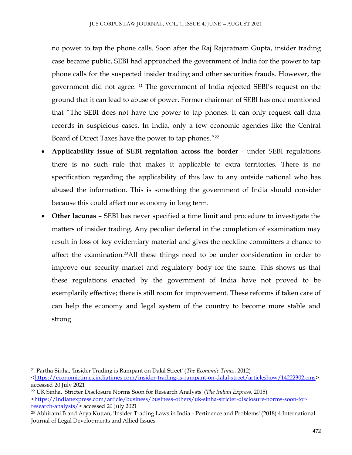no power to tap the phone calls. Soon after the Raj Rajaratnam Gupta, insider trading case became public, SEBI had approached the government of India for the power to tap phone calls for the suspected insider trading and other securities frauds. However, the government did not agree.  $21$  The government of India rejected SEBI's request on the ground that it can lead to abuse of power. Former chairman of SEBI has once mentioned that "The SEBI does not have the power to tap phones. It can only request call data records in suspicious cases. In India, only a few economic agencies like the Central Board of Direct Taxes have the power to tap phones." $22$ 

- **Applicability issue of SEBI regulation across the border** under SEBI regulations there is no such rule that makes it applicable to extra territories. There is no specification regarding the applicability of this law to any outside national who has abused the information. This is something the government of India should consider because this could affect our economy in long term.
- **Other lacunas** SEBI has never specified a time limit and procedure to investigate the matters of insider trading. Any peculiar deferral in the completion of examination may result in loss of key evidentiary material and gives the neckline committers a chance to affect the examination.<sup>23</sup>All these things need to be under consideration in order to improve our security market and regulatory body for the same. This shows us that these regulations enacted by the government of India have not proved to be exemplarily effective; there is still room for improvement. These reforms if taken care of can help the economy and legal system of the country to become more stable and strong.

<sup>21</sup> Partha Sinha, 'Insider Trading is Rampant on Dalal Street' (*The Economic Times*, 2012)

[<sup>&</sup>lt;https://economictimes.indiatimes.com/insider-trading-is-rampant-on-dalal-street/articleshow/14222302.cms>](https://economictimes.indiatimes.com/insider-trading-is-rampant-on-dalal-street/articleshow/14222302.cms) accessed 20 July 2021

<sup>22</sup> UK Sinha, 'Stricter Disclosure Norms Soon for Research Analysts' (*The Indian Express*, 2015)  $\frac{\text{https://indianexpress.com/article/business/business-others/uk-sinha-stricter-disclosure-norms-soon-for-}$ [research-analysts/>](https://indianexpress.com/article/business/business-others/uk-sinha-stricter-disclosure-norms-soon-for-research-analysts/) accessed 20 July 2021

<sup>23</sup> Abhirami B and Arya Kuttan, 'Insider Trading Laws in India - Pertinence and Problems' (2018) 4 International Journal of Legal Developments and Allied Issues